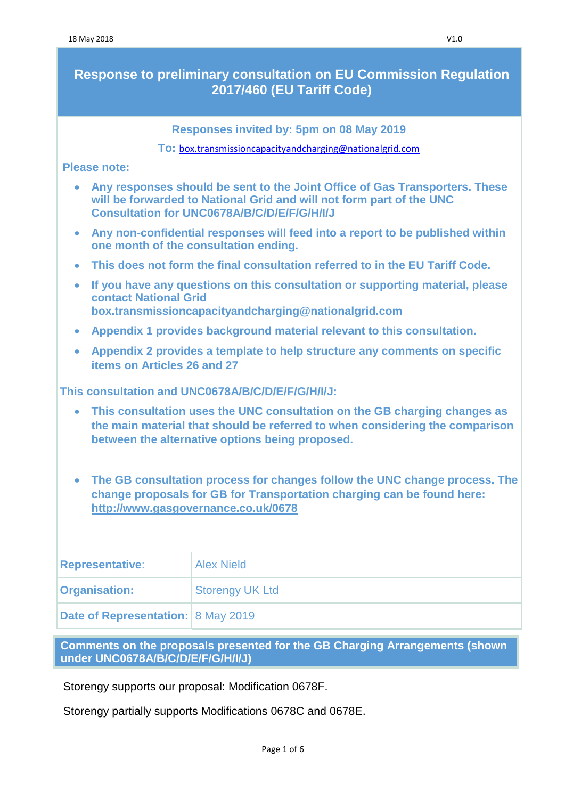# **Response to preliminary consultation on EU Commission Regulation 2017/460 (EU Tariff Code)**

**Responses invited by: 5pm on 08 May 2019**

**To:** [box.transmissioncapacityandcharging@nationalgrid.com](mailto:box.transmissioncapacityandcharging@nationalgrid.com)

#### **Please note:**

| • Any responses should be sent to the Joint Office of Gas Transporters. These |
|-------------------------------------------------------------------------------|
| will be forwarded to National Grid and will not form part of the UNC          |
| <b>Consultation for UNC0678A/B/C/D/E/F/G/H/I/J</b>                            |

- **Any non-confidential responses will feed into a report to be published within one month of the consultation ending.**
- **This does not form the final consultation referred to in the EU Tariff Code.**
- **If you have any questions on this consultation or supporting material, please contact National Grid [box.transmissioncapacityandcharging@nationalgrid.com](mailto:box.transmissioncapacityandcharging@nationalgrid.com)**
- **Appendix 1 provides background material relevant to this consultation.**
- **Appendix 2 provides a template to help structure any comments on specific items on Articles 26 and 27**

**This consultation and UNC0678A/B/C/D/E/F/G/H/I/J:** 

- **This consultation uses the UNC consultation on the GB charging changes as the main material that should be referred to when considering the comparison between the alternative options being proposed.**
- **The GB consultation process for changes follow the UNC change process. The change proposals for GB for Transportation charging can be found here: <http://www.gasgovernance.co.uk/0678>**

| <b>Representative:</b>             | <b>Alex Nield</b>      |
|------------------------------------|------------------------|
| <b>Organisation:</b>               | <b>Storengy UK Ltd</b> |
| Date of Representation: 8 May 2019 |                        |

**Comments on the proposals presented for the GB Charging Arrangements (shown under UNC0678A/B/C/D/E/F/G/H/I/J)**

Storengy supports our proposal: Modification 0678F.

Storengy partially supports Modifications 0678C and 0678E.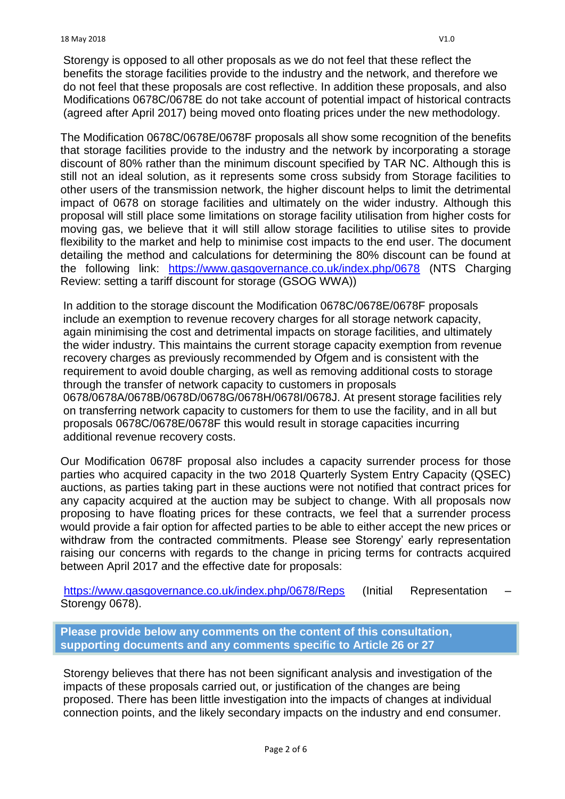The Modification 0678C/0678E/0678F proposals all show some recognition of the benefits that storage facilities provide to the industry and the network by incorporating a storage discount of 80% rather than the minimum discount specified by TAR NC. Although this is still not an ideal solution, as it represents some cross subsidy from Storage facilities to other users of the transmission network, the higher discount helps to limit the detrimental impact of 0678 on storage facilities and ultimately on the wider industry. Although this proposal will still place some limitations on storage facility utilisation from higher costs for moving gas, we believe that it will still allow storage facilities to utilise sites to provide flexibility to the market and help to minimise cost impacts to the end user. The document detailing the method and calculations for determining the 80% discount can be found at the following link: <https://www.gasgovernance.co.uk/index.php/0678> (NTS Charging Review: setting a tariff discount for storage (GSOG WWA))

In addition to the storage discount the Modification 0678C/0678E/0678F proposals include an exemption to revenue recovery charges for all storage network capacity, again minimising the cost and detrimental impacts on storage facilities, and ultimately the wider industry. This maintains the current storage capacity exemption from revenue recovery charges as previously recommended by Ofgem and is consistent with the requirement to avoid double charging, as well as removing additional costs to storage through the transfer of network capacity to customers in proposals 0678/0678A/0678B/0678D/0678G/0678H/0678I/0678J. At present storage facilities rely on transferring network capacity to customers for them to use the facility, and in all but proposals 0678C/0678E/0678F this would result in storage capacities incurring additional revenue recovery costs.

Our Modification 0678F proposal also includes a capacity surrender process for those parties who acquired capacity in the two 2018 Quarterly System Entry Capacity (QSEC) auctions, as parties taking part in these auctions were not notified that contract prices for any capacity acquired at the auction may be subject to change. With all proposals now proposing to have floating prices for these contracts, we feel that a surrender process would provide a fair option for affected parties to be able to either accept the new prices or withdraw from the contracted commitments. Please see Storengy' early representation raising our concerns with regards to the change in pricing terms for contracts acquired between April 2017 and the effective date for proposals:

<https://www.gasgovernance.co.uk/index.php/0678/Reps> (Initial Representation Storengy 0678).

**Please provide below any comments on the content of this consultation, supporting documents and any comments specific to Article 26 or 27**

Storengy believes that there has not been significant analysis and investigation of the impacts of these proposals carried out, or justification of the changes are being proposed. There has been little investigation into the impacts of changes at individual connection points, and the likely secondary impacts on the industry and end consumer.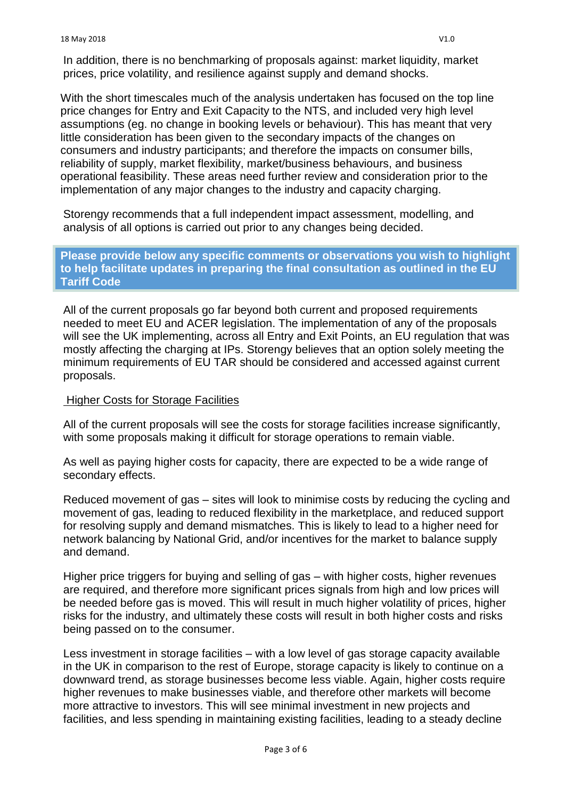With the short timescales much of the analysis undertaken has focused on the top line price changes for Entry and Exit Capacity to the NTS, and included very high level assumptions (eg. no change in booking levels or behaviour). This has meant that very little consideration has been given to the secondary impacts of the changes on consumers and industry participants; and therefore the impacts on consumer bills, reliability of supply, market flexibility, market/business behaviours, and business operational feasibility. These areas need further review and consideration prior to the implementation of any major changes to the industry and capacity charging.

Storengy recommends that a full independent impact assessment, modelling, and analysis of all options is carried out prior to any changes being decided.

**Please provide below any specific comments or observations you wish to highlight to help facilitate updates in preparing the final consultation as outlined in the EU Tariff Code**

All of the current proposals go far beyond both current and proposed requirements needed to meet EU and ACER legislation. The implementation of any of the proposals will see the UK implementing, across all Entry and Exit Points, an EU regulation that was mostly affecting the charging at IPs. Storengy believes that an option solely meeting the minimum requirements of EU TAR should be considered and accessed against current proposals.

### Higher Costs for Storage Facilities

All of the current proposals will see the costs for storage facilities increase significantly, with some proposals making it difficult for storage operations to remain viable.

As well as paying higher costs for capacity, there are expected to be a wide range of secondary effects.

Reduced movement of gas – sites will look to minimise costs by reducing the cycling and movement of gas, leading to reduced flexibility in the marketplace, and reduced support for resolving supply and demand mismatches. This is likely to lead to a higher need for network balancing by National Grid, and/or incentives for the market to balance supply and demand.

Higher price triggers for buying and selling of gas – with higher costs, higher revenues are required, and therefore more significant prices signals from high and low prices will be needed before gas is moved. This will result in much higher volatility of prices, higher risks for the industry, and ultimately these costs will result in both higher costs and risks being passed on to the consumer.

Less investment in storage facilities – with a low level of gas storage capacity available in the UK in comparison to the rest of Europe, storage capacity is likely to continue on a downward trend, as storage businesses become less viable. Again, higher costs require higher revenues to make businesses viable, and therefore other markets will become more attractive to investors. This will see minimal investment in new projects and facilities, and less spending in maintaining existing facilities, leading to a steady decline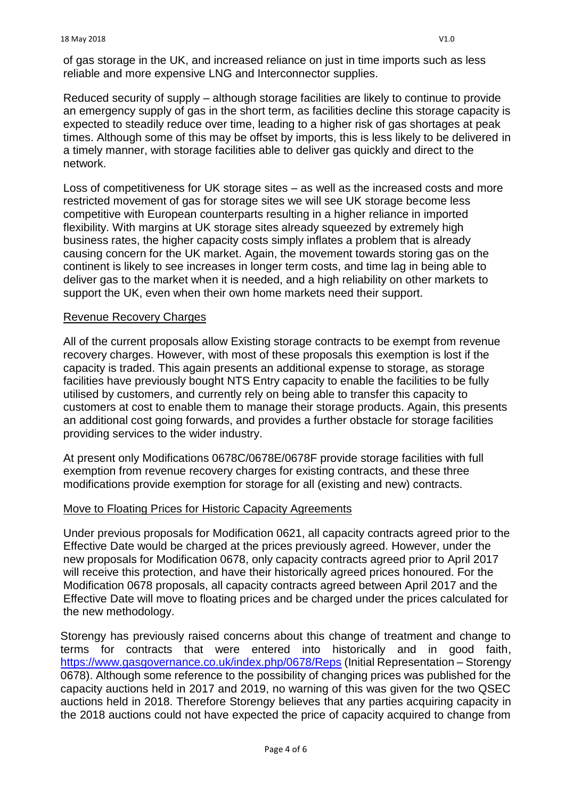of gas storage in the UK, and increased reliance on just in time imports such as less reliable and more expensive LNG and Interconnector supplies.

Reduced security of supply – although storage facilities are likely to continue to provide an emergency supply of gas in the short term, as facilities decline this storage capacity is expected to steadily reduce over time, leading to a higher risk of gas shortages at peak times. Although some of this may be offset by imports, this is less likely to be delivered in a timely manner, with storage facilities able to deliver gas quickly and direct to the network.

Loss of competitiveness for UK storage sites – as well as the increased costs and more restricted movement of gas for storage sites we will see UK storage become less competitive with European counterparts resulting in a higher reliance in imported flexibility. With margins at UK storage sites already squeezed by extremely high business rates, the higher capacity costs simply inflates a problem that is already causing concern for the UK market. Again, the movement towards storing gas on the continent is likely to see increases in longer term costs, and time lag in being able to deliver gas to the market when it is needed, and a high reliability on other markets to support the UK, even when their own home markets need their support.

### Revenue Recovery Charges

All of the current proposals allow Existing storage contracts to be exempt from revenue recovery charges. However, with most of these proposals this exemption is lost if the capacity is traded. This again presents an additional expense to storage, as storage facilities have previously bought NTS Entry capacity to enable the facilities to be fully utilised by customers, and currently rely on being able to transfer this capacity to customers at cost to enable them to manage their storage products. Again, this presents an additional cost going forwards, and provides a further obstacle for storage facilities providing services to the wider industry.

At present only Modifications 0678C/0678E/0678F provide storage facilities with full exemption from revenue recovery charges for existing contracts, and these three modifications provide exemption for storage for all (existing and new) contracts.

### Move to Floating Prices for Historic Capacity Agreements

Under previous proposals for Modification 0621, all capacity contracts agreed prior to the Effective Date would be charged at the prices previously agreed. However, under the new proposals for Modification 0678, only capacity contracts agreed prior to April 2017 will receive this protection, and have their historically agreed prices honoured. For the Modification 0678 proposals, all capacity contracts agreed between April 2017 and the Effective Date will move to floating prices and be charged under the prices calculated for the new methodology.

Storengy has previously raised concerns about this change of treatment and change to terms for contracts that were entered into historically and in good faith, <https://www.gasgovernance.co.uk/index.php/0678/Reps> (Initial Representation – Storengy 0678). Although some reference to the possibility of changing prices was published for the capacity auctions held in 2017 and 2019, no warning of this was given for the two QSEC auctions held in 2018. Therefore Storengy believes that any parties acquiring capacity in the 2018 auctions could not have expected the price of capacity acquired to change from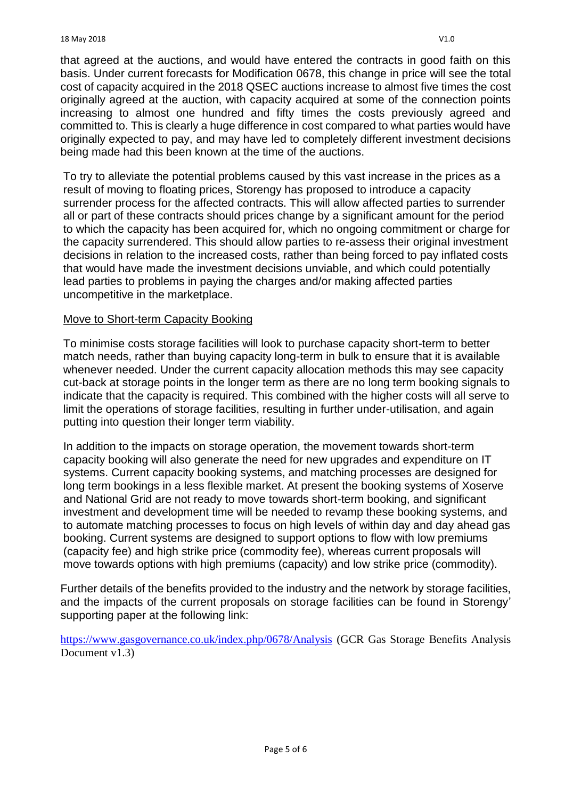that agreed at the auctions, and would have entered the contracts in good faith on this basis. Under current forecasts for Modification 0678, this change in price will see the total cost of capacity acquired in the 2018 QSEC auctions increase to almost five times the cost originally agreed at the auction, with capacity acquired at some of the connection points increasing to almost one hundred and fifty times the costs previously agreed and committed to. This is clearly a huge difference in cost compared to what parties would have originally expected to pay, and may have led to completely different investment decisions being made had this been known at the time of the auctions.

To try to alleviate the potential problems caused by this vast increase in the prices as a result of moving to floating prices, Storengy has proposed to introduce a capacity surrender process for the affected contracts. This will allow affected parties to surrender all or part of these contracts should prices change by a significant amount for the period to which the capacity has been acquired for, which no ongoing commitment or charge for the capacity surrendered. This should allow parties to re-assess their original investment decisions in relation to the increased costs, rather than being forced to pay inflated costs that would have made the investment decisions unviable, and which could potentially lead parties to problems in paying the charges and/or making affected parties uncompetitive in the marketplace.

### Move to Short-term Capacity Booking

To minimise costs storage facilities will look to purchase capacity short-term to better match needs, rather than buying capacity long-term in bulk to ensure that it is available whenever needed. Under the current capacity allocation methods this may see capacity cut-back at storage points in the longer term as there are no long term booking signals to indicate that the capacity is required. This combined with the higher costs will all serve to limit the operations of storage facilities, resulting in further under-utilisation, and again putting into question their longer term viability.

In addition to the impacts on storage operation, the movement towards short-term capacity booking will also generate the need for new upgrades and expenditure on IT systems. Current capacity booking systems, and matching processes are designed for long term bookings in a less flexible market. At present the booking systems of Xoserve and National Grid are not ready to move towards short-term booking, and significant investment and development time will be needed to revamp these booking systems, and to automate matching processes to focus on high levels of within day and day ahead gas booking. Current systems are designed to support options to flow with low premiums (capacity fee) and high strike price (commodity fee), whereas current proposals will move towards options with high premiums (capacity) and low strike price (commodity).

Further details of the benefits provided to the industry and the network by storage facilities, and the impacts of the current proposals on storage facilities can be found in Storengy' supporting paper at the following link:

<https://www.gasgovernance.co.uk/index.php/0678/Analysis> (GCR Gas Storage Benefits Analysis Document v1.3)